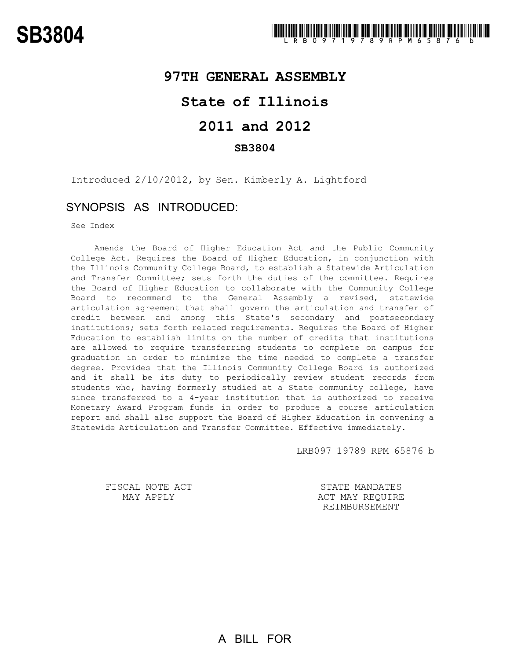## **97TH GENERAL ASSEMBLY**

# **State of Illinois**

# **2011 and 2012**

#### **SB3804**

Introduced 2/10/2012, by Sen. Kimberly A. Lightford

### SYNOPSIS AS INTRODUCED:

See Index

Amends the Board of Higher Education Act and the Public Community College Act. Requires the Board of Higher Education, in conjunction with the Illinois Community College Board, to establish a Statewide Articulation and Transfer Committee; sets forth the duties of the committee. Requires the Board of Higher Education to collaborate with the Community College Board to recommend to the General Assembly a revised, statewide articulation agreement that shall govern the articulation and transfer of credit between and among this State's secondary and postsecondary institutions; sets forth related requirements. Requires the Board of Higher Education to establish limits on the number of credits that institutions are allowed to require transferring students to complete on campus for graduation in order to minimize the time needed to complete a transfer degree. Provides that the Illinois Community College Board is authorized and it shall be its duty to periodically review student records from students who, having formerly studied at a State community college, have since transferred to a 4-year institution that is authorized to receive Monetary Award Program funds in order to produce a course articulation report and shall also support the Board of Higher Education in convening a Statewide Articulation and Transfer Committee. Effective immediately.

LRB097 19789 RPM 65876 b

FISCAL NOTE ACT MAY APPLY

STATE MANDATES ACT MAY REQUIRE REIMBURSEMENT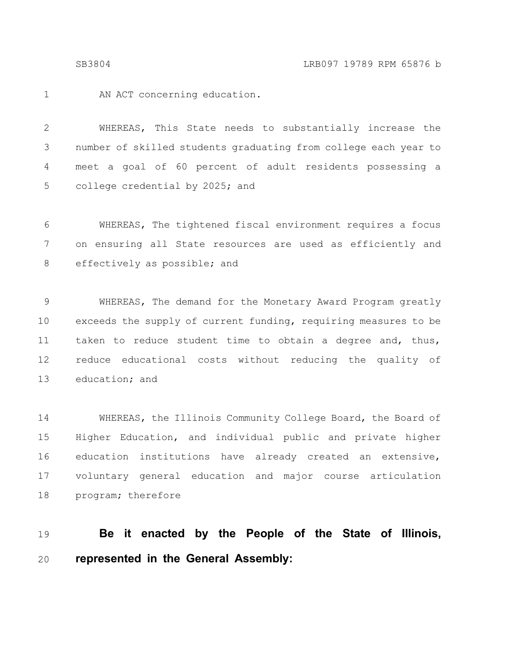1

AN ACT concerning education.

WHEREAS, This State needs to substantially increase the number of skilled students graduating from college each year to meet a goal of 60 percent of adult residents possessing a college credential by 2025; and 2 3 4 5

WHEREAS, The tightened fiscal environment requires a focus on ensuring all State resources are used as efficiently and effectively as possible; and 6 7 8

WHEREAS, The demand for the Monetary Award Program greatly exceeds the supply of current funding, requiring measures to be taken to reduce student time to obtain a degree and, thus, reduce educational costs without reducing the quality of education; and 9 10 11 12 13

WHEREAS, the Illinois Community College Board, the Board of Higher Education, and individual public and private higher education institutions have already created an extensive, voluntary general education and major course articulation program; therefore 14 15 16 17 18

#### **Be it enacted by the People of the State of Illinois, represented in the General Assembly:** 19 20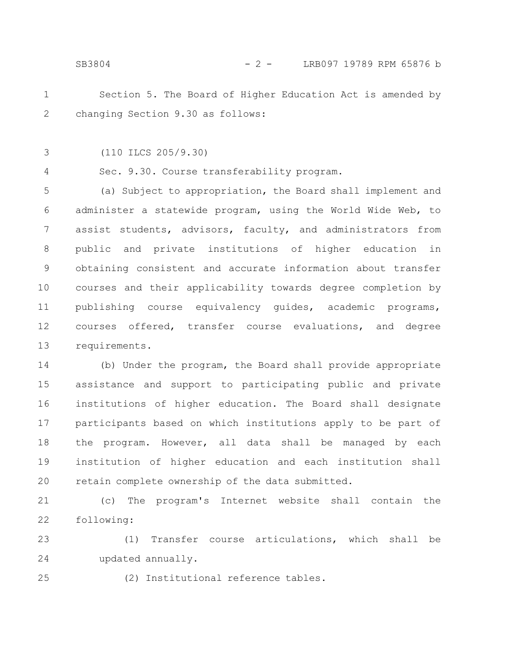- Section 5. The Board of Higher Education Act is amended by changing Section 9.30 as follows: 1 2
- (110 ILCS 205/9.30) 3

Sec. 9.30. Course transferability program. 4

(a) Subject to appropriation, the Board shall implement and administer a statewide program, using the World Wide Web, to assist students, advisors, faculty, and administrators from public and private institutions of higher education in obtaining consistent and accurate information about transfer courses and their applicability towards degree completion by publishing course equivalency guides, academic programs, courses offered, transfer course evaluations, and degree requirements. 5 6 7 8 9 10 11 12 13

(b) Under the program, the Board shall provide appropriate assistance and support to participating public and private institutions of higher education. The Board shall designate participants based on which institutions apply to be part of the program. However, all data shall be managed by each institution of higher education and each institution shall retain complete ownership of the data submitted. 14 15 16 17 18 19 20

(c) The program's Internet website shall contain the following: 21 22

(1) Transfer course articulations, which shall be updated annually. 23 24

25

(2) Institutional reference tables.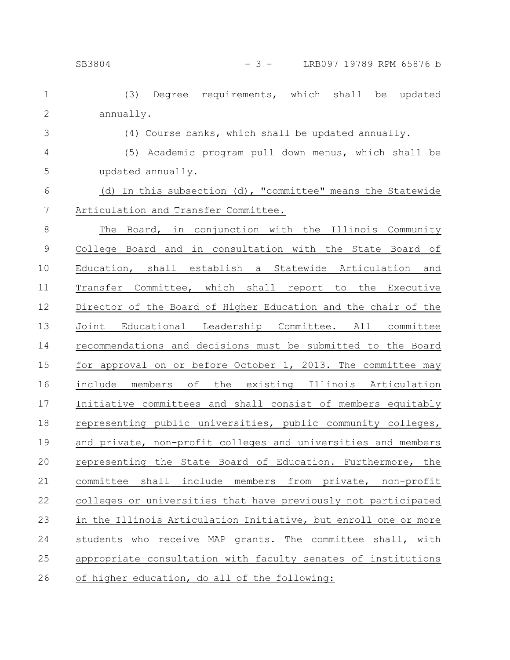3

(3) Degree requirements, which shall be updated annually. 1 2

(4) Course banks, which shall be updated annually.

(5) Academic program pull down menus, which shall be updated annually. 4 5

(d) In this subsection (d), "committee" means the Statewide Articulation and Transfer Committee. 6 7

The Board, in conjunction with the Illinois Community College Board and in consultation with the State Board of Education, shall establish a Statewide Articulation and Transfer Committee, which shall report to the Executive Director of the Board of Higher Education and the chair of the Joint Educational Leadership Committee. All committee recommendations and decisions must be submitted to the Board for approval on or before October 1, 2013. The committee may include members of the existing Illinois Articulation Initiative committees and shall consist of members equitably representing public universities, public community colleges, and private, non-profit colleges and universities and members representing the State Board of Education. Furthermore, the committee shall include members from private, non-profit colleges or universities that have previously not participated in the Illinois Articulation Initiative, but enroll one or more students who receive MAP grants. The committee shall, with appropriate consultation with faculty senates of institutions of higher education, do all of the following: 8 9 10 11 12 13 14 15 16 17 18 19 20 21 22 23 24 25 26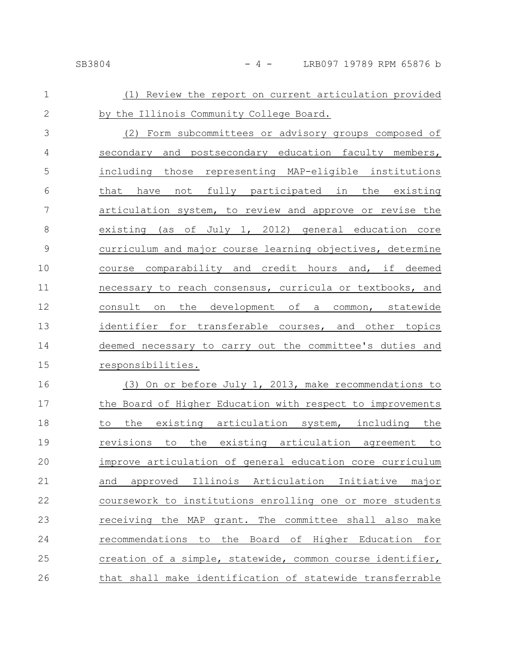### SB3804 - 4 - LRB097 19789 RPM 65876 b

| $\mathbf 1$    | (1) Review the report on current articulation provided     |
|----------------|------------------------------------------------------------|
| $\overline{2}$ | by the Illinois Community College Board.                   |
| 3              | (2) Form subcommittees or advisory groups composed of      |
| $\overline{4}$ | secondary and postsecondary education faculty members,     |
| 5              | including those representing MAP-eligible institutions     |
| 6              | that have not fully participated in the existing           |
| 7              | articulation system, to review and approve or revise the   |
| 8              | existing (as of July 1, 2012) general education core       |
| $\overline{9}$ | curriculum and major course learning objectives, determine |
| 10             | course comparability and credit hours and, if deemed       |
| 11             | necessary to reach consensus, curricula or textbooks, and  |
| 12             | the development of a common, statewide<br>consult on       |
| 13             | identifier for transferable courses, and other topics      |
| 14             | deemed necessary to carry out the committee's duties and   |
| 15             | responsibilities.                                          |
| 16             | (3) On or before July 1, 2013, make recommendations to     |
| 17             | the Board of Higher Education with respect to improvements |
| 18             | to the existing articulation system, including the         |
| 19             | revisions to the existing articulation agreement to        |
| 20             | improve articulation of general education core curriculum  |
| 21             | approved Illinois Articulation Initiative major<br>and     |
| 22             | coursework to institutions enrolling one or more students  |
| 23             | receiving the MAP grant. The committee shall also make     |
| 24             | recommendations to the Board of Higher Education for       |
| 25             | creation of a simple, statewide, common course identifier, |
|                |                                                            |

that shall make identification of statewide transferrable 26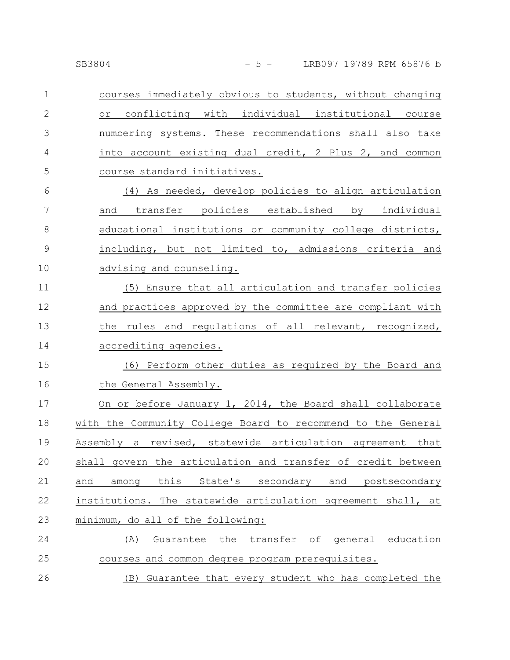| $\mathbf 1$   | courses immediately obvious to students, without changing    |
|---------------|--------------------------------------------------------------|
| $\mathbf{2}$  | or conflicting with individual institutional course          |
| 3             | numbering systems. These recommendations shall also take     |
| 4             | into account existing dual credit, 2 Plus 2, and common      |
| 5             | course standard initiatives.                                 |
| 6             | (4) As needed, develop policies to align articulation        |
| 7             | and transfer policies established by individual              |
| $8\,$         | educational institutions or community college districts,     |
| $\mathcal{G}$ | including, but not limited to, admissions criteria and       |
| 10            | advising and counseling.                                     |
| 11            | (5) Ensure that all articulation and transfer policies       |
| 12            | and practices approved by the committee are compliant with   |
| 13            | the rules and requlations of all relevant, recognized,       |
| 14            | accrediting agencies.                                        |
| 15            | (6) Perform other duties as required by the Board and        |
| 16            | the General Assembly.                                        |
| 17            | On or before January 1, 2014, the Board shall collaborate    |
| 18            | with the Community College Board to recommend to the General |
| 19            | Assembly a revised, statewide articulation agreement that    |
| 20            | shall govern the articulation and transfer of credit between |
| 21            | this State's secondary and postsecondary<br>and<br>among     |
| 22            | institutions. The statewide articulation agreement shall, at |
| 23            | minimum, do all of the following:                            |
| 24            | Guarantee the transfer of general education<br>(A)           |
| 25            | courses and common degree program prerequisites.             |
|               |                                                              |

(B) Guarantee that every student who has completed the 26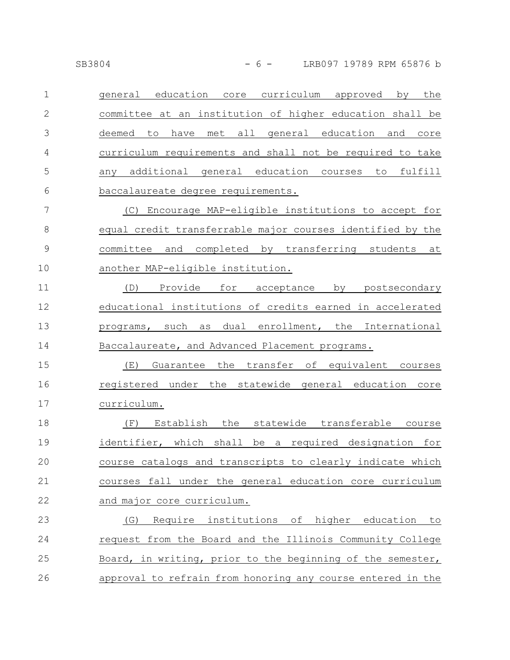general education core curriculum approved by the committee at an institution of higher education shall be deemed to have met all general education and core curriculum requirements and shall not be required to take any additional general education courses to fulfill baccalaureate degree requirements. 1 2 3 4 5 6

(C) Encourage MAP-eligible institutions to accept for equal credit transferrable major courses identified by the committee and completed by transferring students at another MAP-eligible institution. 7 8 9 10

(D) Provide for acceptance by postsecondary educational institutions of credits earned in accelerated programs, such as dual enrollment, the International Baccalaureate, and Advanced Placement programs. 11 12 13 14

(E) Guarantee the transfer of equivalent courses registered under the statewide general education core curriculum. 15 16 17

(F) Establish the statewide transferable course identifier, which shall be a required designation for course catalogs and transcripts to clearly indicate which courses fall under the general education core curriculum and major core curriculum. 18 19 20 21 22

(G) Require institutions of higher education to request from the Board and the Illinois Community College Board, in writing, prior to the beginning of the semester, approval to refrain from honoring any course entered in the 23 24 25 26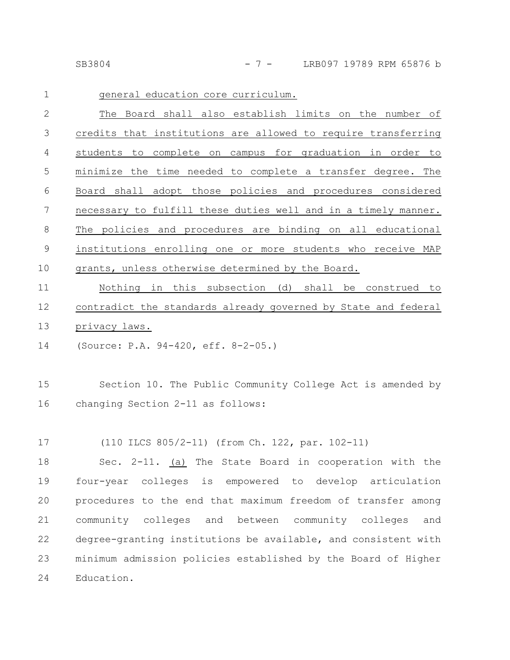SB3804 - 7 - LRB097 19789 RPM 65876 b

| $\mathbf 1$ | general education core curriculum.                             |
|-------------|----------------------------------------------------------------|
| 2           | The Board shall also establish limits on the number of         |
| 3           | credits that institutions are allowed to require transferring  |
| 4           | students to complete on campus for graduation in order to      |
| 5           | minimize the time needed to complete a transfer degree. The    |
| 6           | Board shall adopt those policies and procedures considered     |
| 7           | necessary to fulfill these duties well and in a timely manner. |
| 8           | The policies and procedures are binding on all educational     |
| 9           | institutions enrolling one or more students who receive MAP    |
| 10          | grants, unless otherwise determined by the Board.              |
|             |                                                                |

Nothing in this subsection (d) shall be construed to contradict the standards already governed by State and federal privacy laws. 11 12 13

(Source: P.A. 94-420, eff. 8-2-05.) 14

Section 10. The Public Community College Act is amended by changing Section 2-11 as follows: 15 16

(110 ILCS 805/2-11) (from Ch. 122, par. 102-11) 17

Sec. 2-11. (a) The State Board in cooperation with the four-year colleges is empowered to develop articulation procedures to the end that maximum freedom of transfer among community colleges and between community colleges and degree-granting institutions be available, and consistent with minimum admission policies established by the Board of Higher Education. 18 19 20 21 22 23 24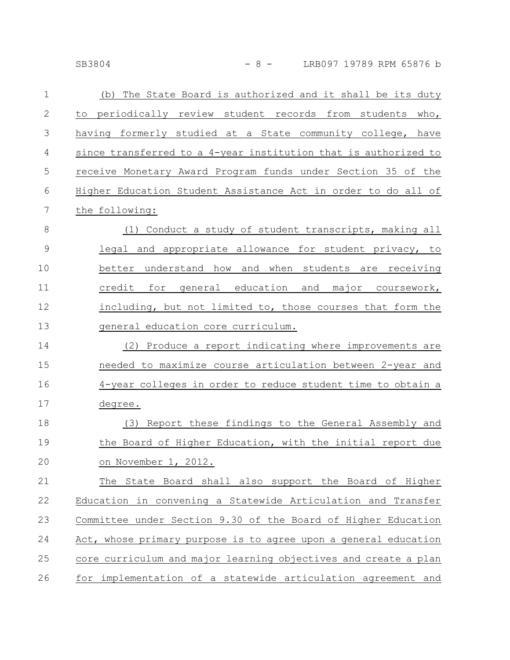| $\mathbf{1}$   | (b) The State Board is authorized and it shall be its duty      |
|----------------|-----------------------------------------------------------------|
| $\mathbf{2}$   | to periodically review student records from students who,       |
| 3              | having formerly studied at a State community college, have      |
| 4              | since transferred to a 4-year institution that is authorized to |
| 5              | receive Monetary Award Program funds under Section 35 of the    |
| 6              | Higher Education Student Assistance Act in order to do all of   |
| $\overline{7}$ | the following:                                                  |
| 8              | (1) Conduct a study of student transcripts, making all          |
| $\mathcal{G}$  | legal and appropriate allowance for student privacy, to         |
| 10             | better understand how and when students are receiving           |
| 11             | credit for general education and major coursework,              |
| 12             | including, but not limited to, those courses that form the      |
| 13             | general education core curriculum.                              |
| 14             | (2) Produce a report indicating where improvements are          |
| 15             | needed to maximize course articulation between 2-year and       |
| 16             | 4-year colleges in order to reduce student time to obtain a     |
| 17             | degree.                                                         |
| 18             | (3) Report these findings to the General Assembly and           |
| 19             | the Board of Higher Education, with the initial report due      |
| 20             | on November 1, 2012.                                            |
| 21             | The State Board shall also support the Board of Higher          |
| 22             | Education in convening a Statewide Articulation and Transfer    |
| 23             | Committee under Section 9.30 of the Board of Higher Education   |
| 24             | Act, whose primary purpose is to agree upon a general education |
| 25             | core curriculum and major learning objectives and create a plan |
| 26             | for implementation of a statewide articulation agreement and    |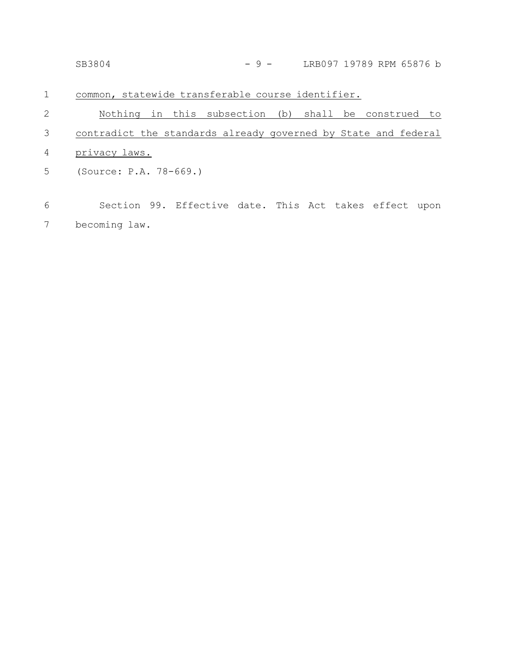|   | SB3804                                                         | $-9 -$ | LRB097 19789 RPM 65876 b |
|---|----------------------------------------------------------------|--------|--------------------------|
| 1 | common, statewide transferable course identifier.              |        |                          |
| 2 | Nothing in this subsection (b) shall be construed to           |        |                          |
| 3 | contradict the standards already governed by State and federal |        |                          |
| 4 | privacy laws.                                                  |        |                          |
| 5 | (Source: P.A. 78-669.)                                         |        |                          |
|   |                                                                |        |                          |
| 6 | Section 99. Effective date. This Act takes effect upon         |        |                          |

becoming law. 7